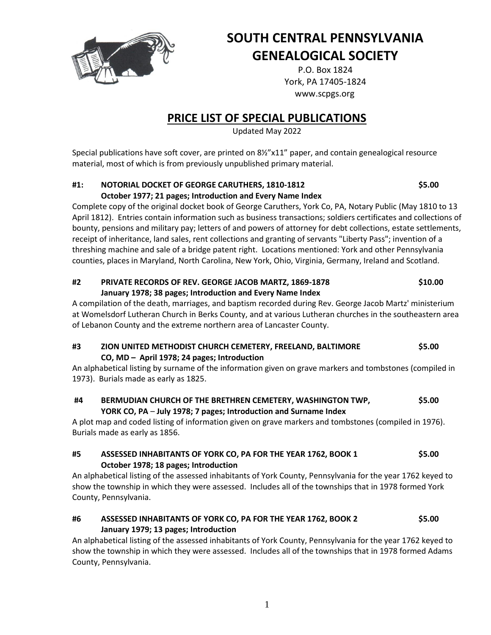

# **SOUTH CENTRAL PENNSYLVANIA GENEALOGICAL SOCIETY**

P.O. Box 1824 York, PA 17405-1824 www.scpgs.org

# **PRICE LIST OF SPECIAL PUBLICATIONS**

Updated May 2022

Special publications have soft cover, are printed on 8½"x11" paper, and contain genealogical resource material, most of which is from previously unpublished primary material.

### **#1: NOTORIAL DOCKET OF GEORGE CARUTHERS, 1810-1812 \$5.00 October 1977; 21 pages; Introduction and Every Name Index**

Complete copy of the original docket book of George Caruthers, York Co, PA, Notary Public (May 1810 to 13 April 1812). Entries contain information such as business transactions; soldiers certificates and collections of bounty, pensions and military pay; letters of and powers of attorney for debt collections, estate settlements, receipt of inheritance, land sales, rent collections and granting of servants "Liberty Pass"; invention of a threshing machine and sale of a bridge patent right. Locations mentioned: York and other Pennsylvania counties, places in Maryland, North Carolina, New York, Ohio, Virginia, Germany, Ireland and Scotland.

# **#2 PRIVATE RECORDS OF REV. GEORGE JACOB MARTZ, 1869-1878 \$10.00 January 1978; 38 pages; Introduction and Every Name Index**

A compilation of the death, marriages, and baptism recorded during Rev. George Jacob Martz' ministerium at Womelsdorf Lutheran Church in Berks County, and at various Lutheran churches in the southeastern area of Lebanon County and the extreme northern area of Lancaster County.

# **#3 ZION UNITED METHODIST CHURCH CEMETERY, FREELAND, BALTIMORE \$5.00 CO, MD – April 1978; 24 pages; Introduction**

An alphabetical listing by surname of the information given on grave markers and tombstones (compiled in 1973). Burials made as early as 1825.

**#4 BERMUDIAN CHURCH OF THE BRETHREN CEMETERY, WASHINGTON TWP, \$5.00 YORK CO, PA** – **July 1978; 7 pages; Introduction and Surname Index**

A plot map and coded listing of information given on grave markers and tombstones (compiled in 1976). Burials made as early as 1856.

# **#5 ASSESSED INHABITANTS OF YORK CO, PA FOR THE YEAR 1762, BOOK 1 \$5.00 October 1978; 18 pages; Introduction**

An alphabetical listing of the assessed inhabitants of York County, Pennsylvania for the year 1762 keyed to show the township in which they were assessed. Includes all of the townships that in 1978 formed York County, Pennsylvania.

# **#6 ASSESSED INHABITANTS OF YORK CO, PA FOR THE YEAR 1762, BOOK 2 \$5.00 January 1979; 13 pages; Introduction**

An alphabetical listing of the assessed inhabitants of York County, Pennsylvania for the year 1762 keyed to show the township in which they were assessed. Includes all of the townships that in 1978 formed Adams County, Pennsylvania.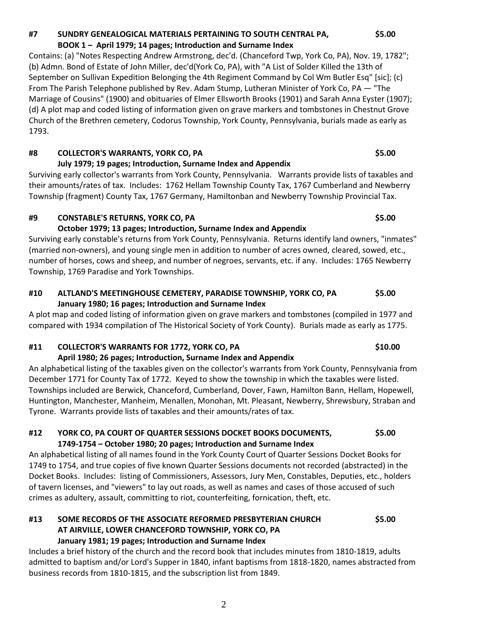# **#7 SUNDRY GENEALOGICAL MATERIALS PERTAINING TO SOUTH CENTRAL PA, \$5.00 BOOK 1 – April 1979; 14 pages; Introduction and Surname Index**

Contains: (a) "Notes Respecting Andrew Armstrong, dec'd. (Chanceford Twp, York Co, PA), Nov. 19, 1782"; (b) Admn. Bond of Estate of John Miller, dec'd(York Co, PA), with "A List of Solder Killed the 13th of September on Sullivan Expedition Belonging the 4th Regiment Command by Col Wm Butler Esq" [sic]; (c) From The Parish Telephone published by Rev. Adam Stump, Lutheran Minister of York Co, PA — "The Marriage of Cousins" (1900) and obituaries of Elmer Ellsworth Brooks (1901) and Sarah Anna Eyster (1907); (d) A plot map and coded listing of information given on grave markers and tombstones in Chestnut Grove Church of the Brethren cemetery, Codorus Township, York County, Pennsylvania, burials made as early as 1793.

### **July 1979; 19 pages; Introduction, Surname Index and Appendix** Surviving early collector's warrants from York County, Pennsylvania. Warrants provide lists of taxables and their amounts/rates of tax. Includes: 1762 Hellam Township County Tax, 1767 Cumberland and Newberry Township (fragment) County Tax, 1767 Germany, Hamiltonban and Newberry Township Provincial Tax.

# **#9 CONSTABLE'S RETURNS, YORK CO, PA \$5.00**

# **October 1979; 13 pages; Introduction, Surname Index and Appendix**

Surviving early constable's returns from York County, Pennsylvania. Returns identify land owners, "inmates" (married non-owners), and young single men in addition to number of acres owned, cleared, sowed, etc., number of horses, cows and sheep, and number of negroes, servants, etc. if any. Includes: 1765 Newberry Township, 1769 Paradise and York Townships.

# **#10 ALTLAND'S MEETINGHOUSE CEMETERY, PARADISE TOWNSHIP, YORK CO, PA \$5.00 January 1980; 16 pages; Introduction and Surname Index**

A plot map and coded listing of information given on grave markers and tombstones (compiled in 1977 and compared with 1934 compilation of The Historical Society of York County). Burials made as early as 1775.

# **#11 COLLECTOR'S WARRANTS FOR 1772, YORK CO, PA \$10.00**

# **April 1980; 26 pages; Introduction, Surname Index and Appendix**

An alphabetical listing of the taxables given on the collector's warrants from York County, Pennsylvania from December 1771 for County Tax of 1772. Keyed to show the township in which the taxables were listed. Townships included are Berwick, Chanceford, Cumberland, Dover, Fawn, Hamilton Bann, Hellam, Hopewell, Huntington, Manchester, Manheim, Menallen, Monohan, Mt. Pleasant, Newberry, Shrewsbury, Straban and Tyrone. Warrants provide lists of taxables and their amounts/rates of tax.

# **#12 YORK CO, PA COURT OF QUARTER SESSIONS DOCKET BOOKS DOCUMENTS, \$5.00 1749-1754 – October 1980; 20 pages; Introduction and Surname Index**

An alphabetical listing of all names found in the York County Court of Quarter Sessions Docket Books for 1749 to 1754, and true copies of five known Quarter Sessions documents not recorded (abstracted) in the Docket Books. Includes: listing of Commissioners, Assessors, Jury Men, Constables, Deputies, etc., holders of tavern licenses, and "viewers" to lay out roads, as well as names and cases of those accused of such crimes as adultery, assault, committing to riot, counterfeiting, fornication, theft, etc.

# **#13 SOME RECORDS OF THE ASSOCIATE REFORMED PRESBYTERIAN CHURCH \$5.00 AT AIRVILLE, LOWER CHANCEFORD TOWNSHIP, YORK CO, PA January 1981; 19 pages; Introduction and Surname Index**

Includes a brief history of the church and the record book that includes minutes from 1810-1819, adults admitted to baptism and/or Lord's Supper in 1840, infant baptisms from 1818-1820, names abstracted from business records from 1810-1815, and the subscription list from 1849.

# **#8 COLLECTOR'S WARRANTS, YORK CO, PA \$5.00**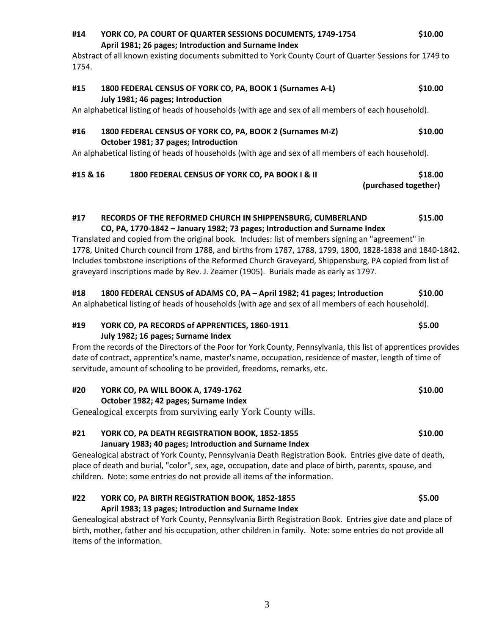## **#14 YORK CO, PA COURT OF QUARTER SESSIONS DOCUMENTS, 1749-1754 \$10.00 April 1981; 26 pages; Introduction and Surname Index**

Abstract of all known existing documents submitted to York County Court of Quarter Sessions for 1749 to 1754.

# **#15 1800 FEDERAL CENSUS OF YORK CO, PA, BOOK 1 (Surnames A-L) \$10.00 July 1981; 46 pages; Introduction**

An alphabetical listing of heads of households (with age and sex of all members of each household).

### **#16 1800 FEDERAL CENSUS OF YORK CO, PA, BOOK 2 (Surnames M-Z) \$10.00 October 1981; 37 pages; Introduction**

An alphabetical listing of heads of households (with age and sex of all members of each household).

# **#15 & 16 1800 FEDERAL CENSUS OF YORK CO, PA BOOK I & II \$18.00**

 **(purchased together)**

# **#17 RECORDS OF THE REFORMED CHURCH IN SHIPPENSBURG, CUMBERLAND \$15.00 CO, PA, 1770-1842 – January 1982; 73 pages; Introduction and Surname Index**

Translated and copied from the original book. Includes: list of members signing an "agreement" in 1778, United Church council from 1788, and births from 1787, 1788, 1799, 1800, 1828-1838 and 1840-1842. Includes tombstone inscriptions of the Reformed Church Graveyard, Shippensburg, PA copied from list of graveyard inscriptions made by Rev. J. Zeamer (1905). Burials made as early as 1797.

# **#18 1800 FEDERAL CENSUS of ADAMS CO, PA – April 1982; 41 pages; Introduction \$10.00**

An alphabetical listing of heads of households (with age and sex of all members of each household).

# **#19 YORK CO, PA RECORDS of APPRENTICES, 1860-1911 \$5.00 July 1982; 16 pages; Surname Index**

From the records of the Directors of the Poor for York County, Pennsylvania, this list of apprentices provides date of contract, apprentice's name, master's name, occupation, residence of master, length of time of servitude, amount of schooling to be provided, freedoms, remarks, etc.

### **#20 YORK CO, PA WILL BOOK A, 1749-1762 \$10.00 October 1982; 42 pages; Surname Index**

Genealogical excerpts from surviving early York County wills.

### **#21 YORK CO, PA DEATH REGISTRATION BOOK, 1852-1855 \$10.00 January 1983; 40 pages; Introduction and Surname Index**

Genealogical abstract of York County, Pennsylvania Death Registration Book. Entries give date of death, place of death and burial, "color", sex, age, occupation, date and place of birth, parents, spouse, and children. Note: some entries do not provide all items of the information.

### **#22 YORK CO, PA BIRTH REGISTRATION BOOK, 1852-1855 \$5.00 April 1983; 13 pages; Introduction and Surname Index**

Genealogical abstract of York County, Pennsylvania Birth Registration Book. Entries give date and place of birth, mother, father and his occupation, other children in family. Note: some entries do not provide all items of the information.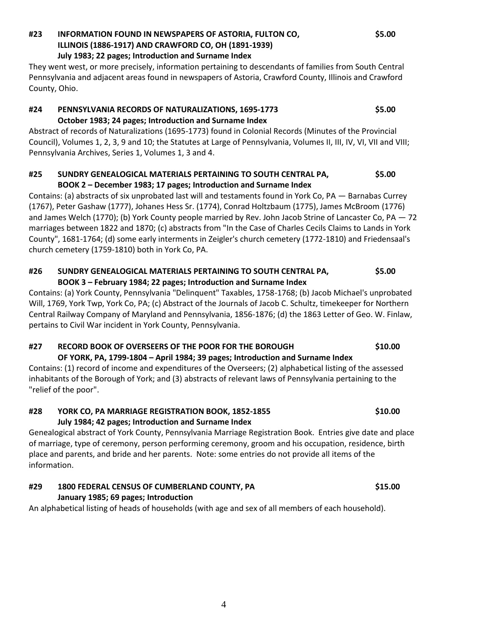### **#23 INFORMATION FOUND IN NEWSPAPERS OF ASTORIA, FULTON CO, \$5.00 ILLINOIS (1886-1917) AND CRAWFORD CO, OH (1891-1939) July 1983; 22 pages; Introduction and Surname Index**

They went west, or more precisely, information pertaining to descendants of families from South Central Pennsylvania and adjacent areas found in newspapers of Astoria, Crawford County, Illinois and Crawford County, Ohio.

## **#24 PENNSYLVANIA RECORDS OF NATURALIZATIONS, 1695-1773 \$5.00 October 1983; 24 pages; Introduction and Surname Index**

Abstract of records of Naturalizations (1695-1773) found in Colonial Records (Minutes of the Provincial Council), Volumes 1, 2, 3, 9 and 10; the Statutes at Large of Pennsylvania, Volumes II, III, IV, VI, VII and VIII; Pennsylvania Archives, Series 1, Volumes 1, 3 and 4.

### **#25 SUNDRY GENEALOGICAL MATERIALS PERTAINING TO SOUTH CENTRAL PA, \$5.00 BOOK 2 – December 1983; 17 pages; Introduction and Surname Index**

Contains: (a) abstracts of six unprobated last will and testaments found in York Co, PA — Barnabas Currey (1767), Peter Gashaw (1777), Johanes Hess Sr. (1774), Conrad Holtzbaum (1775), James McBroom (1776) and James Welch (1770); (b) York County people married by Rev. John Jacob Strine of Lancaster Co, PA — 72 marriages between 1822 and 1870; (c) abstracts from "In the Case of Charles Cecils Claims to Lands in York County", 1681-1764; (d) some early interments in Zeigler's church cemetery (1772-1810) and Friedensaal's church cemetery (1759-1810) both in York Co, PA.

### **#26 SUNDRY GENEALOGICAL MATERIALS PERTAINING TO SOUTH CENTRAL PA, \$5.00 BOOK 3 – February 1984; 22 pages; Introduction and Surname Index**

Contains: (a) York County, Pennsylvania "Delinquent" Taxables, 1758-1768; (b) Jacob Michael's unprobated Will, 1769, York Twp, York Co, PA; (c) Abstract of the Journals of Jacob C. Schultz, timekeeper for Northern Central Railway Company of Maryland and Pennsylvania, 1856-1876; (d) the 1863 Letter of Geo. W. Finlaw, pertains to Civil War incident in York County, Pennsylvania.

# **#27 RECORD BOOK OF OVERSEERS OF THE POOR FOR THE BOROUGH \$10.00 OF YORK, PA, 1799-1804 – April 1984; 39 pages; Introduction and Surname Index**

Contains: (1) record of income and expenditures of the Overseers; (2) alphabetical listing of the assessed inhabitants of the Borough of York; and (3) abstracts of relevant laws of Pennsylvania pertaining to the "relief of the poor".

### **#28 YORK CO, PA MARRIAGE REGISTRATION BOOK, 1852-1855 \$10.00 July 1984; 42 pages; Introduction and Surname Index**

Genealogical abstract of York County, Pennsylvania Marriage Registration Book. Entries give date and place of marriage, type of ceremony, person performing ceremony, groom and his occupation, residence, birth place and parents, and bride and her parents. Note: some entries do not provide all items of the information.

# **#29 1800 FEDERAL CENSUS OF CUMBERLAND COUNTY, PA \$15.00 January 1985; 69 pages; Introduction**

An alphabetical listing of heads of households (with age and sex of all members of each household).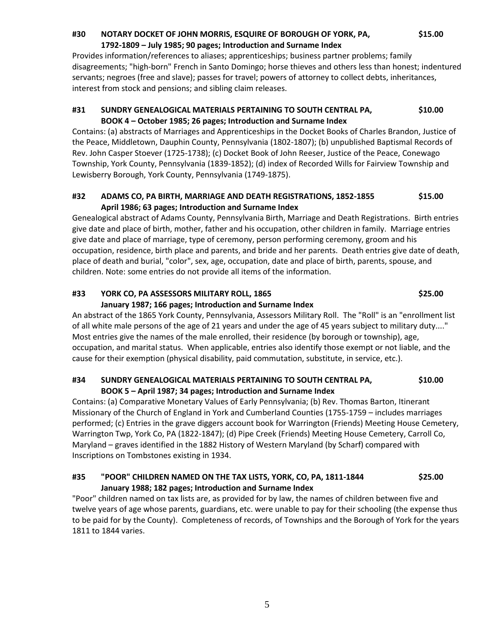### **#30 NOTARY DOCKET OF JOHN MORRIS, ESQUIRE OF BOROUGH OF YORK, PA, \$15.00 1792-1809 – July 1985; 90 pages; Introduction and Surname Index**

Provides information/references to aliases; apprenticeships; business partner problems; family disagreements; "high-born" French in Santo Domingo; horse thieves and others less than honest; indentured servants; negroes (free and slave); passes for travel; powers of attorney to collect debts, inheritances, interest from stock and pensions; and sibling claim releases.

### **#31 SUNDRY GENEALOGICAL MATERIALS PERTAINING TO SOUTH CENTRAL PA, \$10.00 BOOK 4 – October 1985; 26 pages; Introduction and Surname Index**

Contains: (a) abstracts of Marriages and Apprenticeships in the Docket Books of Charles Brandon, Justice of the Peace, Middletown, Dauphin County, Pennsylvania (1802-1807); (b) unpublished Baptismal Records of Rev. John Casper Stoever (1725-1738); (c) Docket Book of John Reeser, Justice of the Peace, Conewago Township, York County, Pennsylvania (1839-1852); (d) index of Recorded Wills for Fairview Township and Lewisberry Borough, York County, Pennsylvania (1749-1875).

### **#32 ADAMS CO, PA BIRTH, MARRIAGE AND DEATH REGISTRATIONS, 1852-1855 \$15.00 April 1986; 63 pages; Introduction and Surname Index**

Genealogical abstract of Adams County, Pennsylvania Birth, Marriage and Death Registrations. Birth entries give date and place of birth, mother, father and his occupation, other children in family. Marriage entries give date and place of marriage, type of ceremony, person performing ceremony, groom and his occupation, residence, birth place and parents, and bride and her parents. Death entries give date of death, place of death and burial, "color", sex, age, occupation, date and place of birth, parents, spouse, and children. Note: some entries do not provide all items of the information.

# **#33 YORK CO, PA ASSESSORS MILITARY ROLL, 1865 \$25.00**

### **January 1987; 166 pages; Introduction and Surname Index**

An abstract of the 1865 York County, Pennsylvania, Assessors Military Roll. The "Roll" is an "enrollment list of all white male persons of the age of 21 years and under the age of 45 years subject to military duty...." Most entries give the names of the male enrolled, their residence (by borough or township), age, occupation, and marital status. When applicable, entries also identify those exempt or not liable, and the cause for their exemption (physical disability, paid commutation, substitute, in service, etc.).

### **#34 SUNDRY GENEALOGICAL MATERIALS PERTAINING TO SOUTH CENTRAL PA, \$10.00 BOOK 5 – April 1987; 34 pages; Introduction and Surname Index**

Contains: (a) Comparative Monetary Values of Early Pennsylvania; (b) Rev. Thomas Barton, Itinerant Missionary of the Church of England in York and Cumberland Counties (1755-1759 – includes marriages performed; (c) Entries in the grave diggers account book for Warrington (Friends) Meeting House Cemetery, Warrington Twp, York Co, PA (1822-1847); (d) Pipe Creek (Friends) Meeting House Cemetery, Carroll Co, Maryland – graves identified in the 1882 History of Western Maryland (by Scharf) compared with Inscriptions on Tombstones existing in 1934.

# **#35 "POOR" CHILDREN NAMED ON THE TAX LISTS, YORK, CO, PA, 1811-1844 \$25.00 January 1988; 182 pages; Introduction and Surname Index**

"Poor" children named on tax lists are, as provided for by law, the names of children between five and twelve years of age whose parents, guardians, etc. were unable to pay for their schooling (the expense thus to be paid for by the County). Completeness of records, of Townships and the Borough of York for the years 1811 to 1844 varies.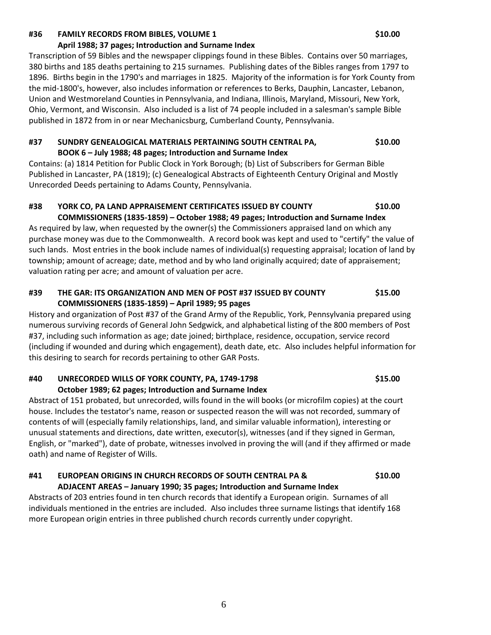### **#36 FAMILY RECORDS FROM BIBLES, VOLUME 1 \$10.00 \$10.00**

### **April 1988; 37 pages; Introduction and Surname Index**

Transcription of 59 Bibles and the newspaper clippings found in these Bibles. Contains over 50 marriages, 380 births and 185 deaths pertaining to 215 surnames. Publishing dates of the Bibles ranges from 1797 to 1896. Births begin in the 1790's and marriages in 1825. Majority of the information is for York County from the mid-1800's, however, also includes information or references to Berks, Dauphin, Lancaster, Lebanon, Union and Westmoreland Counties in Pennsylvania, and Indiana, Illinois, Maryland, Missouri, New York, Ohio, Vermont, and Wisconsin. Also included is a list of 74 people included in a salesman's sample Bible published in 1872 from in or near Mechanicsburg, Cumberland County, Pennsylvania.

### **#37 SUNDRY GENEALOGICAL MATERIALS PERTAINING SOUTH CENTRAL PA, \$10.00 BOOK 6 – July 1988; 48 pages; Introduction and Surname Index**

Contains: (a) 1814 Petition for Public Clock in York Borough; (b) List of Subscribers for German Bible Published in Lancaster, PA (1819); (c) Genealogical Abstracts of Eighteenth Century Original and Mostly Unrecorded Deeds pertaining to Adams County, Pennsylvania.

### **#38 YORK CO, PA LAND APPRAISEMENT CERTIFICATES ISSUED BY COUNTY \$10.00 COMMISSIONERS (1835-1859) – October 1988; 49 pages; Introduction and Surname Index**

As required by law, when requested by the owner(s) the Commissioners appraised land on which any purchase money was due to the Commonwealth. A record book was kept and used to "certify" the value of such lands. Most entries in the book include names of individual(s) requesting appraisal; location of land by township; amount of acreage; date, method and by who land originally acquired; date of appraisement; valuation rating per acre; and amount of valuation per acre.

### **#39 THE GAR: ITS ORGANIZATION AND MEN OF POST #37 ISSUED BY COUNTY \$15.00 COMMISSIONERS (1835-1859) – April 1989; 95 pages**

History and organization of Post #37 of the Grand Army of the Republic, York, Pennsylvania prepared using numerous surviving records of General John Sedgwick, and alphabetical listing of the 800 members of Post #37, including such information as age; date joined; birthplace, residence, occupation, service record (including if wounded and during which engagement), death date, etc. Also includes helpful information for this desiring to search for records pertaining to other GAR Posts.

### **#40 UNRECORDED WILLS OF YORK COUNTY, PA, 1749-1798 \$15.00 October 1989; 62 pages; Introduction and Surname Index**

Abstract of 151 probated, but unrecorded, wills found in the will books (or microfilm copies) at the court house. Includes the testator's name, reason or suspected reason the will was not recorded, summary of contents of will (especially family relationships, land, and similar valuable information), interesting or unusual statements and directions, date written, executor(s), witnesses (and if they signed in German, English, or "marked"), date of probate, witnesses involved in proving the will (and if they affirmed or made oath) and name of Register of Wills.

### **#41 EUROPEAN ORIGINS IN CHURCH RECORDS OF SOUTH CENTRAL PA & \$10.00 ADJACENT AREAS – January 1990; 35 pages; Introduction and Surname Index**

Abstracts of 203 entries found in ten church records that identify a European origin. Surnames of all individuals mentioned in the entries are included. Also includes three surname listings that identify 168 more European origin entries in three published church records currently under copyright.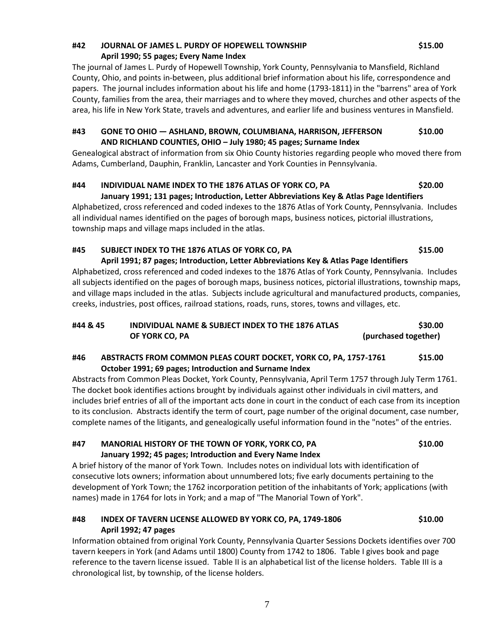### **#42 JOURNAL OF JAMES L. PURDY OF HOPEWELL TOWNSHIP \$15.00 April 1990; 55 pages; Every Name Index**

The journal of James L. Purdy of Hopewell Township, York County, Pennsylvania to Mansfield, Richland County, Ohio, and points in-between, plus additional brief information about his life, correspondence and papers. The journal includes information about his life and home (1793-1811) in the "barrens" area of York County, families from the area, their marriages and to where they moved, churches and other aspects of the area, his life in New York State, travels and adventures, and earlier life and business ventures in Mansfield.

### **#43 GONE TO OHIO — ASHLAND, BROWN, COLUMBIANA, HARRISON, JEFFERSON \$10.00 AND RICHLAND COUNTIES, OHIO – July 1980; 45 pages; Surname Index**

Genealogical abstract of information from six Ohio County histories regarding people who moved there from Adams, Cumberland, Dauphin, Franklin, Lancaster and York Counties in Pennsylvania.

# **#44 INDIVIDUAL NAME INDEX TO THE 1876 ATLAS OF YORK CO, PA \$20.00**

**January 1991; 131 pages; Introduction, Letter Abbreviations Key & Atlas Page Identifiers** Alphabetized, cross referenced and coded indexes to the 1876 Atlas of York County, Pennsylvania. Includes all individual names identified on the pages of borough maps, business notices, pictorial illustrations, township maps and village maps included in the atlas.

# **#45 SUBJECT INDEX TO THE 1876 ATLAS OF YORK CO, PA \$15.00**

**April 1991; 87 pages; Introduction, Letter Abbreviations Key & Atlas Page Identifiers** Alphabetized, cross referenced and coded indexes to the 1876 Atlas of York County, Pennsylvania. Includes all subjects identified on the pages of borough maps, business notices, pictorial illustrations, township maps, and village maps included in the atlas. Subjects include agricultural and manufactured products, companies, creeks, industries, post offices, railroad stations, roads, runs, stores, towns and villages, etc.

# **#44 & 45 INDIVIDUAL NAME & SUBJECT INDEX TO THE 1876 ATLAS \$30.00 OF YORK CO, PA (purchased together)**

# **#46 ABSTRACTS FROM COMMON PLEAS COURT DOCKET, YORK CO, PA, 1757-1761 \$15.00 October 1991; 69 pages; Introduction and Surname Index**

Abstracts from Common Pleas Docket, York County, Pennsylvania, April Term 1757 through July Term 1761. The docket book identifies actions brought by individuals against other individuals in civil matters, and includes brief entries of all of the important acts done in court in the conduct of each case from its inception to its conclusion. Abstracts identify the term of court, page number of the original document, case number, complete names of the litigants, and genealogically useful information found in the "notes" of the entries.

# **#47 MANORIAL HISTORY OF THE TOWN OF YORK, YORK CO, PA \$10.00 January 1992; 45 pages; Introduction and Every Name Index**

A brief history of the manor of York Town. Includes notes on individual lots with identification of consecutive lots owners; information about unnumbered lots; five early documents pertaining to the development of York Town; the 1762 incorporation petition of the inhabitants of York; applications (with names) made in 1764 for lots in York; and a map of "The Manorial Town of York".

# **#48 INDEX OF TAVERN LICENSE ALLOWED BY YORK CO, PA, 1749-1806 \$10.00 April 1992; 47 pages**

Information obtained from original York County, Pennsylvania Quarter Sessions Dockets identifies over 700 tavern keepers in York (and Adams until 1800) County from 1742 to 1806. Table I gives book and page reference to the tavern license issued. Table II is an alphabetical list of the license holders. Table III is a chronological list, by township, of the license holders.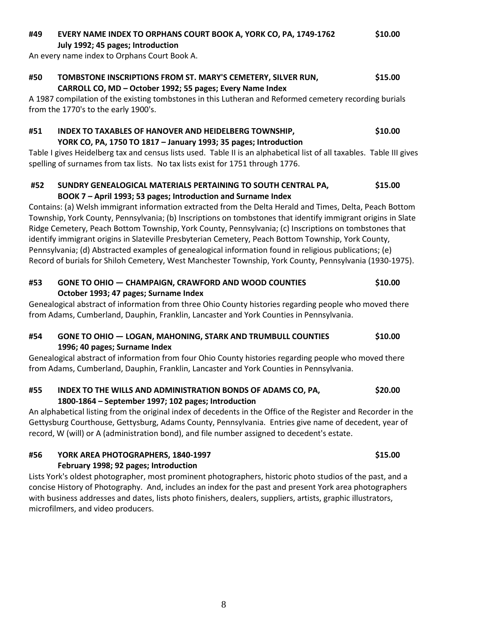An every name index to Orphans Court Book A. **#50 TOMBSTONE INSCRIPTIONS FROM ST. MARY'S CEMETERY, SILVER RUN, \$15.00 CARROLL CO, MD – October 1992; 55 pages; Every Name Index** A 1987 compilation of the existing tombstones in this Lutheran and Reformed cemetery recording burials from the 1770's to the early 1900's. **#51 INDEX TO TAXABLES OF HANOVER AND HEIDELBERG TOWNSHIP, \$10.00 YORK CO, PA, 1750 TO 1817 – January 1993; 35 pages; Introduction** Table I gives Heidelberg tax and census lists used. Table II is an alphabetical list of all taxables. Table III gives spelling of surnames from tax lists. No tax lists exist for 1751 through 1776. **#52 SUNDRY GENEALOGICAL MATERIALS PERTAINING TO SOUTH CENTRAL PA, \$15.00 BOOK 7 – April 1993; 53 pages; Introduction and Surname Index** Contains: (a) Welsh immigrant information extracted from the Delta Herald and Times, Delta, Peach Bottom Township, York County, Pennsylvania; (b) Inscriptions on tombstones that identify immigrant origins in Slate

**July 1992; 45 pages; Introduction**

Ridge Cemetery, Peach Bottom Township, York County, Pennsylvania; (c) Inscriptions on tombstones that identify immigrant origins in Slateville Presbyterian Cemetery, Peach Bottom Township, York County, Pennsylvania; (d) Abstracted examples of genealogical information found in religious publications; (e) Record of burials for Shiloh Cemetery, West Manchester Township, York County, Pennsylvania (1930-1975).

# **#53 GONE TO OHIO — CHAMPAIGN, CRAWFORD AND WOOD COUNTIES \$10.00 October 1993; 47 pages; Surname Index**

Genealogical abstract of information from three Ohio County histories regarding people who moved there from Adams, Cumberland, Dauphin, Franklin, Lancaster and York Counties in Pennsylvania.

# **#54 GONE TO OHIO — LOGAN, MAHONING, STARK AND TRUMBULL COUNTIES \$10.00 1996; 40 pages; Surname Index**

Genealogical abstract of information from four Ohio County histories regarding people who moved there from Adams, Cumberland, Dauphin, Franklin, Lancaster and York Counties in Pennsylvania.

# **#55 INDEX TO THE WILLS AND ADMINISTRATION BONDS OF ADAMS CO, PA, \$20.00 1800-1864 – September 1997; 102 pages; Introduction**

An alphabetical listing from the original index of decedents in the Office of the Register and Recorder in the Gettysburg Courthouse, Gettysburg, Adams County, Pennsylvania. Entries give name of decedent, year of record, W (will) or A (administration bond), and file number assigned to decedent's estate.

# **#56 YORK AREA PHOTOGRAPHERS, 1840-1997 \$15.00 February 1998; 92 pages; Introduction**

Lists York's oldest photographer, most prominent photographers, historic photo studios of the past, and a concise History of Photography. And, includes an index for the past and present York area photographers with business addresses and dates, lists photo finishers, dealers, suppliers, artists, graphic illustrators, microfilmers, and video producers.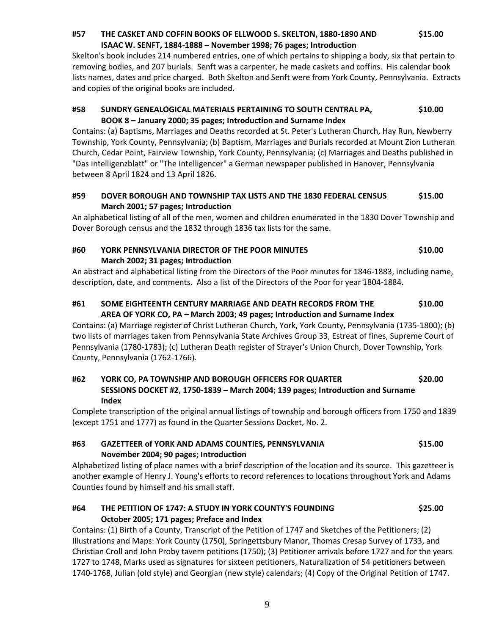### 9

### **#57 THE CASKET AND COFFIN BOOKS OF ELLWOOD S. SKELTON, 1880-1890 AND \$15.00 ISAAC W. SENFT, 1884-1888 – November 1998; 76 pages; Introduction**

Skelton's book includes 214 numbered entries, one of which pertains to shipping a body, six that pertain to removing bodies, and 207 burials. Senft was a carpenter, he made caskets and coffins. His calendar book lists names, dates and price charged. Both Skelton and Senft were from York County, Pennsylvania. Extracts and copies of the original books are included.

### **#58 SUNDRY GENEALOGICAL MATERIALS PERTAINING TO SOUTH CENTRAL PA, \$10.00 BOOK 8 – January 2000; 35 pages; Introduction and Surname Index**

Contains: (a) Baptisms, Marriages and Deaths recorded at St. Peter's Lutheran Church, Hay Run, Newberry Township, York County, Pennsylvania; (b) Baptism, Marriages and Burials recorded at Mount Zion Lutheran Church, Cedar Point, Fairview Township, York County, Pennsylvania; (c) Marriages and Deaths published in "Das Intelligenzblatt" or "The Intelligencer" a German newspaper published in Hanover, Pennsylvania between 8 April 1824 and 13 April 1826.

# **#59 DOVER BOROUGH AND TOWNSHIP TAX LISTS AND THE 1830 FEDERAL CENSUS \$15.00 March 2001; 57 pages; Introduction**

An alphabetical listing of all of the men, women and children enumerated in the 1830 Dover Township and Dover Borough census and the 1832 through 1836 tax lists for the same.

### **#60 YORK PENNSYLVANIA DIRECTOR OF THE POOR MINUTES \$10.00 March 2002; 31 pages; Introduction**

An abstract and alphabetical listing from the Directors of the Poor minutes for 1846-1883, including name, description, date, and comments. Also a list of the Directors of the Poor for year 1804-1884.

# **#61 SOME EIGHTEENTH CENTURY MARRIAGE AND DEATH RECORDS FROM THE \$10.00 AREA OF YORK CO, PA – March 2003; 49 pages; Introduction and Surname Index**

Contains: (a) Marriage register of Christ Lutheran Church, York, York County, Pennsylvania (1735-1800); (b) two lists of marriages taken from Pennsylvania State Archives Group 33, Estreat of fines, Supreme Court of Pennsylvania (1780-1783); (c) Lutheran Death register of Strayer's Union Church, Dover Township, York County, Pennsylvania (1762-1766).

## **#62 YORK CO, PA TOWNSHIP AND BOROUGH OFFICERS FOR QUARTER \$20.00 SESSIONS DOCKET #2, 1750-1839 – March 2004; 139 pages; Introduction and Surname Index**

Complete transcription of the original annual listings of township and borough officers from 1750 and 1839 (except 1751 and 1777) as found in the Quarter Sessions Docket, No. 2.

# **#63 GAZETTEER of YORK AND ADAMS COUNTIES, PENNSYLVANIA \$15.00 November 2004; 90 pages; Introduction**

Alphabetized listing of place names with a brief description of the location and its source. This gazetteer is another example of Henry J. Young's efforts to record references to locations throughout York and Adams Counties found by himself and his small staff.

# **#64 THE PETITION OF 1747: A STUDY IN YORK COUNTY'S FOUNDING \$25.00 October 2005; 171 pages; Preface and Index**

Contains: (1) Birth of a County, Transcript of the Petition of 1747 and Sketches of the Petitioners; (2) Illustrations and Maps: York County (1750), Springettsbury Manor, Thomas Cresap Survey of 1733, and Christian Croll and John Proby tavern petitions (1750); (3) Petitioner arrivals before 1727 and for the years 1727 to 1748, Marks used as signatures for sixteen petitioners, Naturalization of 54 petitioners between 1740-1768, Julian (old style) and Georgian (new style) calendars; (4) Copy of the Original Petition of 1747.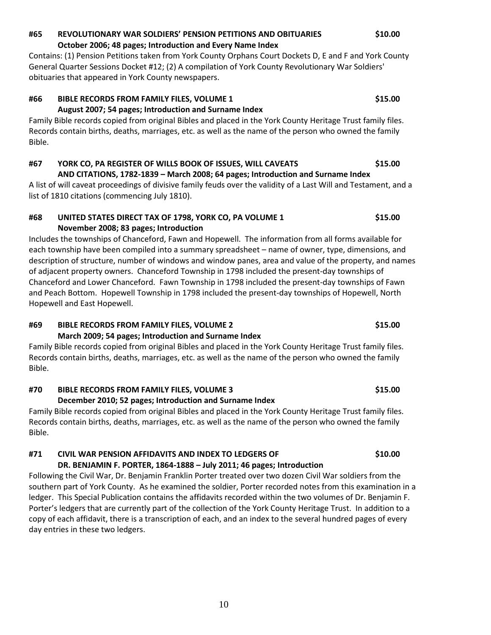### **#65 REVOLUTIONARY WAR SOLDIERS' PENSION PETITIONS AND OBITUARIES \$10.00 October 2006; 48 pages; Introduction and Every Name Index**

Contains: (1) Pension Petitions taken from York County Orphans Court Dockets D, E and F and York County General Quarter Sessions Docket #12; (2) A compilation of York County Revolutionary War Soldiers' obituaries that appeared in York County newspapers.

# **#66 BIBLE RECORDS FROM FAMILY FILES, VOLUME 1 \$15.00 August 2007; 54 pages; Introduction and Surname Index**

Family Bible records copied from original Bibles and placed in the York County Heritage Trust family files. Records contain births, deaths, marriages, etc. as well as the name of the person who owned the family Bible.

### **#67 YORK CO, PA REGISTER OF WILLS BOOK OF ISSUES, WILL CAVEATS \$15.00 AND CITATIONS, 1782-1839 – March 2008; 64 pages; Introduction and Surname Index**

A list of will caveat proceedings of divisive family feuds over the validity of a Last Will and Testament, and a list of 1810 citations (commencing July 1810).

# **#68 UNITED STATES DIRECT TAX OF 1798, YORK CO, PA VOLUME 1 \$15.00 November 2008; 83 pages; Introduction**

Includes the townships of Chanceford, Fawn and Hopewell. The information from all forms available for each township have been compiled into a summary spreadsheet – name of owner, type, dimensions, and description of structure, number of windows and window panes, area and value of the property, and names of adjacent property owners. Chanceford Township in 1798 included the present-day townships of Chanceford and Lower Chanceford. Fawn Township in 1798 included the present-day townships of Fawn and Peach Bottom. Hopewell Township in 1798 included the present-day townships of Hopewell, North Hopewell and East Hopewell.

### **#69 BIBLE RECORDS FROM FAMILY FILES, VOLUME 2 \$15.00 March 2009; 54 pages; Introduction and Surname Index**

Family Bible records copied from original Bibles and placed in the York County Heritage Trust family files. Records contain births, deaths, marriages, etc. as well as the name of the person who owned the family Bible.

# **#70 BIBLE RECORDS FROM FAMILY FILES, VOLUME 3 \$15.00**

# **December 2010; 52 pages; Introduction and Surname Index**

Family Bible records copied from original Bibles and placed in the York County Heritage Trust family files. Records contain births, deaths, marriages, etc. as well as the name of the person who owned the family Bible.

# **#71 CIVIL WAR PENSION AFFIDAVITS AND INDEX TO LEDGERS OF \$10.00**

# **DR. BENJAMIN F. PORTER, 1864-1888 – July 2011; 46 pages; Introduction**

Following the Civil War, Dr. Benjamin Franklin Porter treated over two dozen Civil War soldiers from the southern part of York County. As he examined the soldier, Porter recorded notes from this examination in a ledger. This Special Publication contains the affidavits recorded within the two volumes of Dr. Benjamin F. Porter's ledgers that are currently part of the collection of the York County Heritage Trust. In addition to a copy of each affidavit, there is a transcription of each, and an index to the several hundred pages of every day entries in these two ledgers.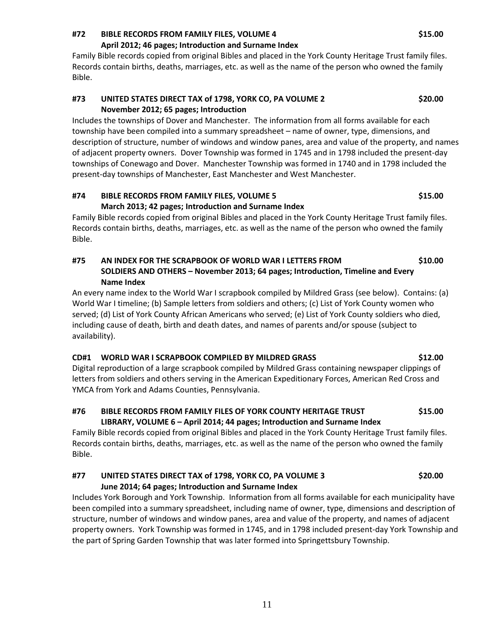### **#72 BIBLE RECORDS FROM FAMILY FILES, VOLUME 4 \$15.00**

### **April 2012; 46 pages; Introduction and Surname Index**

Family Bible records copied from original Bibles and placed in the York County Heritage Trust family files. Records contain births, deaths, marriages, etc. as well as the name of the person who owned the family Bible.

### **#73 UNITED STATES DIRECT TAX of 1798, YORK CO, PA VOLUME 2 \$20.00 November 2012; 65 pages; Introduction**

Includes the townships of Dover and Manchester. The information from all forms available for each township have been compiled into a summary spreadsheet – name of owner, type, dimensions, and description of structure, number of windows and window panes, area and value of the property, and names of adjacent property owners. Dover Township was formed in 1745 and in 1798 included the present-day townships of Conewago and Dover. Manchester Township was formed in 1740 and in 1798 included the present-day townships of Manchester, East Manchester and West Manchester.

### **#74 BIBLE RECORDS FROM FAMILY FILES, VOLUME 5 \$15.00 March 2013; 42 pages; Introduction and Surname Index**

Family Bible records copied from original Bibles and placed in the York County Heritage Trust family files. Records contain births, deaths, marriages, etc. as well as the name of the person who owned the family Bible.

# **#75 AN INDEX FOR THE SCRAPBOOK OF WORLD WAR I LETTERS FROM \$10.00 SOLDIERS AND OTHERS – November 2013; 64 pages; Introduction, Timeline and Every Name Index**

An every name index to the World War I scrapbook compiled by Mildred Grass (see below). Contains: (a) World War I timeline; (b) Sample letters from soldiers and others; (c) List of York County women who served; (d) List of York County African Americans who served; (e) List of York County soldiers who died, including cause of death, birth and death dates, and names of parents and/or spouse (subject to availability).

### **CD#1 WORLD WAR I SCRAPBOOK COMPILED BY MILDRED GRASS \$12.00**

Digital reproduction of a large scrapbook compiled by Mildred Grass containing newspaper clippings of letters from soldiers and others serving in the American Expeditionary Forces, American Red Cross and YMCA from York and Adams Counties, Pennsylvania.

### **#76 BIBLE RECORDS FROM FAMILY FILES OF YORK COUNTY HERITAGE TRUST \$15.00 LIBRARY, VOLUME 6 – April 2014; 44 pages; Introduction and Surname Index**

Family Bible records copied from original Bibles and placed in the York County Heritage Trust family files. Records contain births, deaths, marriages, etc. as well as the name of the person who owned the family Bible.

### **#77 UNITED STATES DIRECT TAX of 1798, YORK CO, PA VOLUME 3 \$20.00 June 2014; 64 pages; Introduction and Surname Index**

Includes York Borough and York Township. Information from all forms available for each municipality have been compiled into a summary spreadsheet, including name of owner, type, dimensions and description of structure, number of windows and window panes, area and value of the property, and names of adjacent property owners. York Township was formed in 1745, and in 1798 included present-day York Township and the part of Spring Garden Township that was later formed into Springettsbury Township.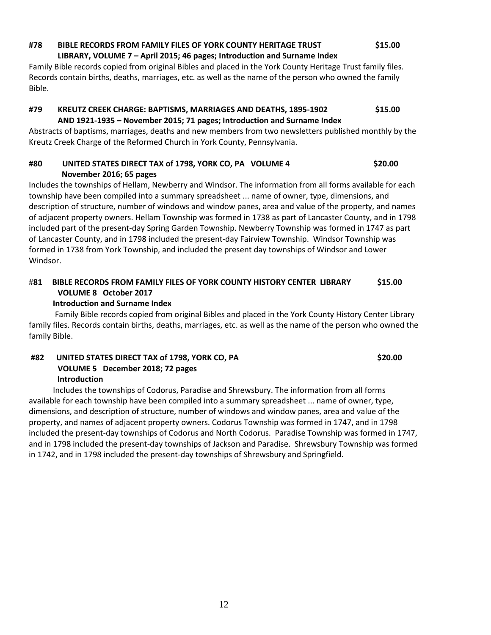### **#78 BIBLE RECORDS FROM FAMILY FILES OF YORK COUNTY HERITAGE TRUST \$15.00 LIBRARY, VOLUME 7 – April 2015; 46 pages; Introduction and Surname Index**

Family Bible records copied from original Bibles and placed in the York County Heritage Trust family files. Records contain births, deaths, marriages, etc. as well as the name of the person who owned the family Bible.

# **#79 KREUTZ CREEK CHARGE: BAPTISMS, MARRIAGES AND DEATHS, 1895-1902 \$15.00 AND 1921-1935 – November 2015; 71 pages; Introduction and Surname Index**

Abstracts of baptisms, marriages, deaths and new members from two newsletters published monthly by the Kreutz Creek Charge of the Reformed Church in York County, Pennsylvania.

### **#80 UNITED STATES DIRECT TAX of 1798, YORK CO, PA VOLUME 4 \$20.00 November 2016; 65 pages**

Includes the townships of Hellam, Newberry and Windsor. The information from all forms available for each township have been compiled into a summary spreadsheet ... name of owner, type, dimensions, and description of structure, number of windows and window panes, area and value of the property, and names of adjacent property owners. Hellam Township was formed in 1738 as part of Lancaster County, and in 1798 included part of the present-day Spring Garden Township. Newberry Township was formed in 1747 as part of Lancaster County, and in 1798 included the present-day Fairview Township. Windsor Township was formed in 1738 from York Township, and included the present day townships of Windsor and Lower Windsor.

# #**81 BIBLE RECORDS FROM FAMILY FILES OF YORK COUNTY HISTORY CENTER LIBRARY \$15.00 VOLUME 8 October 2017**

# **Introduction and Surname Index**

 Family Bible records copied from original Bibles and placed in the York County History Center Library family files. Records contain births, deaths, marriages, etc. as well as the name of the person who owned the family Bible.

### **#82 UNITED STATES DIRECT TAX of 1798, YORK CO, PA \$20.00 VOLUME 5 December 2018; 72 pages Introduction**

 Includes the townships of Codorus, Paradise and Shrewsbury. The information from all forms available for each township have been compiled into a summary spreadsheet ... name of owner, type, dimensions, and description of structure, number of windows and window panes, area and value of the property, and names of adjacent property owners. Codorus Township was formed in 1747, and in 1798 included the present-day townships of Codorus and North Codorus. Paradise Township was formed in 1747, and in 1798 included the present-day townships of Jackson and Paradise. Shrewsbury Township was formed in 1742, and in 1798 included the present-day townships of Shrewsbury and Springfield.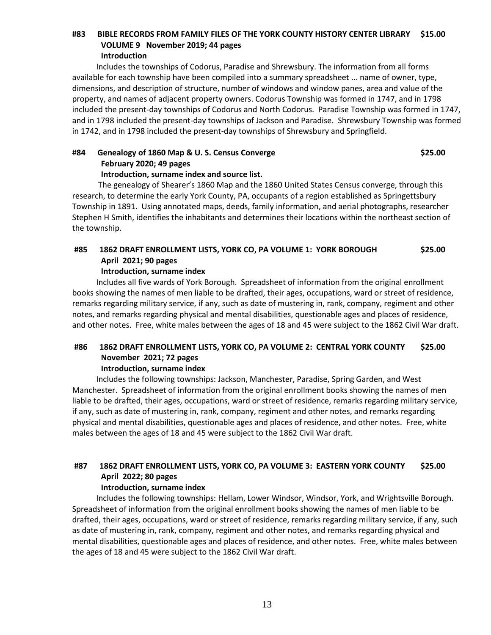### **#83 BIBLE RECORDS FROM FAMILY FILES OF THE YORK COUNTY HISTORY CENTER LIBRARY \$15.00 VOLUME 9 November 2019; 44 pages Introduction**

 Includes the townships of Codorus, Paradise and Shrewsbury. The information from all forms available for each township have been compiled into a summary spreadsheet ... name of owner, type, dimensions, and description of structure, number of windows and window panes, area and value of the property, and names of adjacent property owners. Codorus Township was formed in 1747, and in 1798 included the present-day townships of Codorus and North Codorus. Paradise Township was formed in 1747, and in 1798 included the present-day townships of Jackson and Paradise. Shrewsbury Township was formed in 1742, and in 1798 included the present-day townships of Shrewsbury and Springfield.

# #**84 Genealogy of 1860 Map & U. S. Census Converge \$25.00 February 2020; 49 pages**

### **Introduction, surname index and source list.**

 The genealogy of Shearer's 1860 Map and the 1860 United States Census converge, through this research, to determine the early York County, PA, occupants of a region established as Springettsbury Township in 1891. Using annotated maps, deeds, family information, and aerial photographs, researcher Stephen H Smith, identifies the inhabitants and determines their locations within the northeast section of the township.

### **#85 1862 DRAFT ENROLLMENT LISTS, YORK CO, PA VOLUME 1: YORK BOROUGH \$25.00 April 2021; 90 pages**

### **Introduction, surname index**

 Includes all five wards of York Borough. Spreadsheet of information from the original enrollment books showing the names of men liable to be drafted, their ages, occupations, ward or street of residence, remarks regarding military service, if any, such as date of mustering in, rank, company, regiment and other notes, and remarks regarding physical and mental disabilities, questionable ages and places of residence, and other notes. Free, white males between the ages of 18 and 45 were subject to the 1862 Civil War draft.

# **#86 1862 DRAFT ENROLLMENT LISTS, YORK CO, PA VOLUME 2: CENTRAL YORK COUNTY \$25.00 November 2021; 72 pages**

**Introduction, surname index**

 Includes the following townships: Jackson, Manchester, Paradise, Spring Garden, and West Manchester. Spreadsheet of information from the original enrollment books showing the names of men liable to be drafted, their ages, occupations, ward or street of residence, remarks regarding military service, if any, such as date of mustering in, rank, company, regiment and other notes, and remarks regarding physical and mental disabilities, questionable ages and places of residence, and other notes. Free, white males between the ages of 18 and 45 were subject to the 1862 Civil War draft.

# **#87 1862 DRAFT ENROLLMENT LISTS, YORK CO, PA VOLUME 3: EASTERN YORK COUNTY \$25.00 April 2022; 80 pages**

### **Introduction, surname index**

 Includes the following townships: Hellam, Lower Windsor, Windsor, York, and Wrightsville Borough. Spreadsheet of information from the original enrollment books showing the names of men liable to be drafted, their ages, occupations, ward or street of residence, remarks regarding military service, if any, such as date of mustering in, rank, company, regiment and other notes, and remarks regarding physical and mental disabilities, questionable ages and places of residence, and other notes. Free, white males between the ages of 18 and 45 were subject to the 1862 Civil War draft.